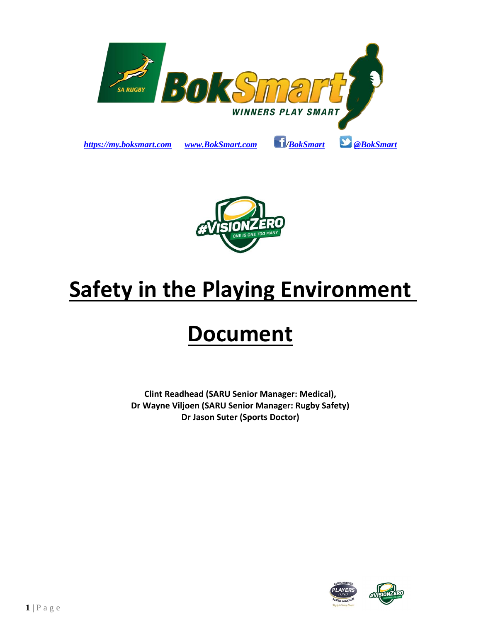



# **Safety in the Playing Environment**

## **Document**

**Clint Readhead (SARU Senior Manager: Medical), Dr Wayne Viljoen (SARU Senior Manager: Rugby Safety) Dr Jason Suter (Sports Doctor)**



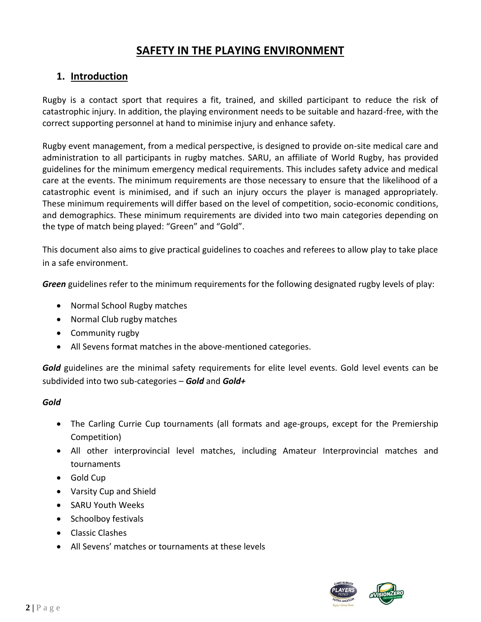## **SAFETY IN THE PLAYING ENVIRONMENT**

## **1. Introduction**

Rugby is a contact sport that requires a fit, trained, and skilled participant to reduce the risk of catastrophic injury. In addition, the playing environment needs to be suitable and hazard-free, with the correct supporting personnel at hand to minimise injury and enhance safety.

Rugby event management, from a medical perspective, is designed to provide on-site medical care and administration to all participants in rugby matches. SARU, an affiliate of World Rugby, has provided guidelines for the minimum emergency medical requirements. This includes safety advice and medical care at the events. The minimum requirements are those necessary to ensure that the likelihood of a catastrophic event is minimised, and if such an injury occurs the player is managed appropriately. These minimum requirements will differ based on the level of competition, socio-economic conditions, and demographics. These minimum requirements are divided into two main categories depending on the type of match being played: "Green" and "Gold".

This document also aims to give practical guidelines to coaches and referees to allow play to take place in a safe environment.

*Green* guidelines refer to the minimum requirements for the following designated rugby levels of play:

- Normal School Rugby matches
- Normal Club rugby matches
- Community rugby
- All Sevens format matches in the above-mentioned categories.

*Gold* guidelines are the minimal safety requirements for elite level events. Gold level events can be subdivided into two sub-categories – *Gold* and *Gold+*

#### *Gold*

- The Carling Currie Cup tournaments (all formats and age-groups, except for the Premiership Competition)
- All other interprovincial level matches, including Amateur Interprovincial matches and tournaments
- Gold Cup
- Varsity Cup and Shield
- SARU Youth Weeks
- Schoolboy festivals
- Classic Clashes
- All Sevens' matches or tournaments at these levels

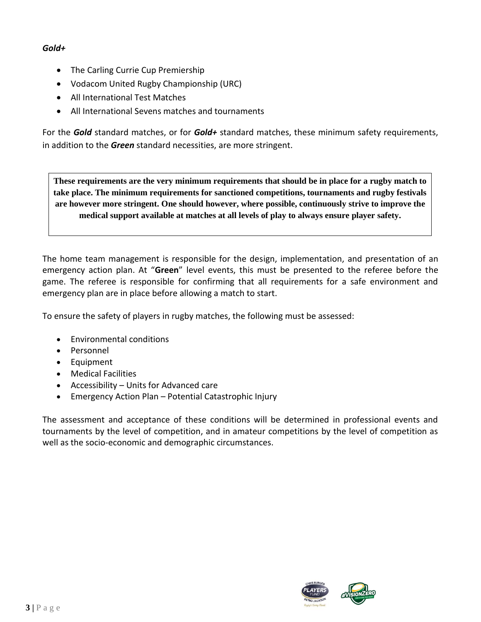#### *Gold+*

- The Carling Currie Cup Premiership
- Vodacom United Rugby Championship (URC)
- All International Test Matches
- All International Sevens matches and tournaments

For the *Gold* standard matches, or for *Gold+* standard matches, these minimum safety requirements, in addition to the *Green* standard necessities, are more stringent.

**These requirements are the very minimum requirements that should be in place for a rugby match to take place. The minimum requirements for sanctioned competitions, tournaments and rugby festivals are however more stringent. One should however, where possible, continuously strive to improve the medical support available at matches at all levels of play to always ensure player safety.**

The home team management is responsible for the design, implementation, and presentation of an emergency action plan. At "**Green**" level events, this must be presented to the referee before the game. The referee is responsible for confirming that all requirements for a safe environment and emergency plan are in place before allowing a match to start.

To ensure the safety of players in rugby matches, the following must be assessed:

- Environmental conditions
- Personnel
- Equipment
- Medical Facilities
- Accessibility Units for Advanced care
- Emergency Action Plan Potential Catastrophic Injury

The assessment and acceptance of these conditions will be determined in professional events and tournaments by the level of competition, and in amateur competitions by the level of competition as well as the socio-economic and demographic circumstances.

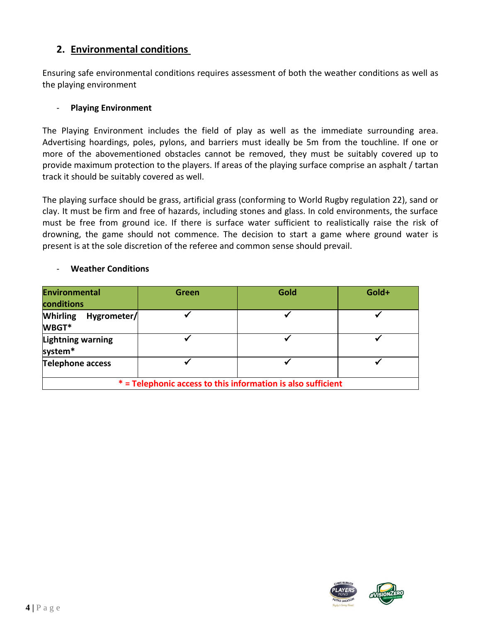## **2. Environmental conditions**

Ensuring safe environmental conditions requires assessment of both the weather conditions as well as the playing environment

#### - **Playing Environment**

The Playing Environment includes the field of play as well as the immediate surrounding area. Advertising hoardings, poles, pylons, and barriers must ideally be 5m from the touchline. If one or more of the abovementioned obstacles cannot be removed, they must be suitably covered up to provide maximum protection to the players. If areas of the playing surface comprise an asphalt / tartan track it should be suitably covered as well.

The playing surface should be grass, artificial grass (conforming to World Rugby regulation 22), sand or clay. It must be firm and free of hazards, including stones and glass. In cold environments, the surface must be free from ground ice. If there is surface water sufficient to realistically raise the risk of drowning, the game should not commence. The decision to start a game where ground water is present is at the sole discretion of the referee and common sense should prevail.

#### - **Weather Conditions**

| Environmental<br>conditions                                  | Green | Gold | Gold+ |  |
|--------------------------------------------------------------|-------|------|-------|--|
| <b>Whirling</b><br>Hygrometer/<br>WBGT*                      |       |      |       |  |
| <b>Lightning warning</b><br>system*                          |       |      |       |  |
| <b>Telephone access</b>                                      |       |      |       |  |
| * = Telephonic access to this information is also sufficient |       |      |       |  |

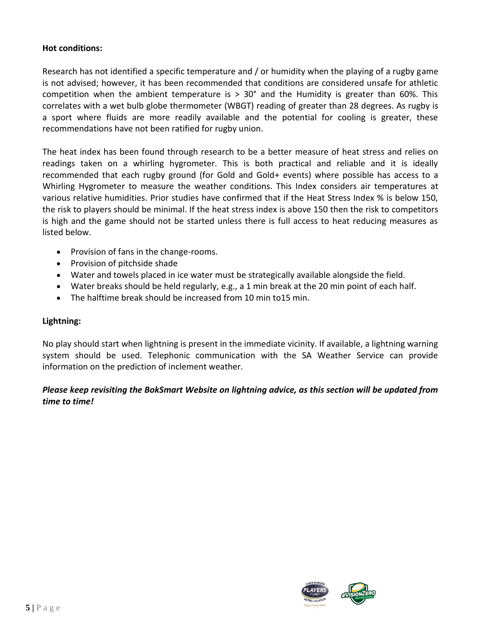#### **Hot conditions:**

Research has not identified a specific temperature and / or humidity when the playing of a rugby game is not advised; however, it has been recommended that conditions are considered unsafe for athletic competition when the ambient temperature is  $> 30^{\circ}$  and the Humidity is greater than 60%. This correlates with a wet bulb globe thermometer (WBGT) reading of greater than 28 degrees. As rugby is a sport where fluids are more readily available and the potential for cooling is greater, these recommendations have not been ratified for rugby union.

The heat index has been found through research to be a better measure of heat stress and relies on readings taken on a whirling hygrometer. This is both practical and reliable and it is ideally recommended that each rugby ground (for Gold and Gold+ events) where possible has access to a Whirling Hygrometer to measure the weather conditions. This Index considers air temperatures at various relative humidities. Prior studies have confirmed that if the Heat Stress Index % is below 150, the risk to players should be minimal. If the heat stress index is above 150 then the risk to competitors is high and the game should not be started unless there is full access to heat reducing measures as listed below.

- Provision of fans in the change-rooms.
- Provision of pitchside shade
- Water and towels placed in ice water must be strategically available alongside the field.
- Water breaks should be held regularly, e.g., a 1 min break at the 20 min point of each half.
- The halftime break should be increased from 10 min to15 min.

#### **Lightning:**

No play should start when lightning is present in the immediate vicinity. If available, a lightning warning system should be used. Telephonic communication with the SA Weather Service can provide information on the prediction of inclement weather.

#### *Please keep revisiting the BokSmart Website on lightning advice, as this section will be updated from time to time!*

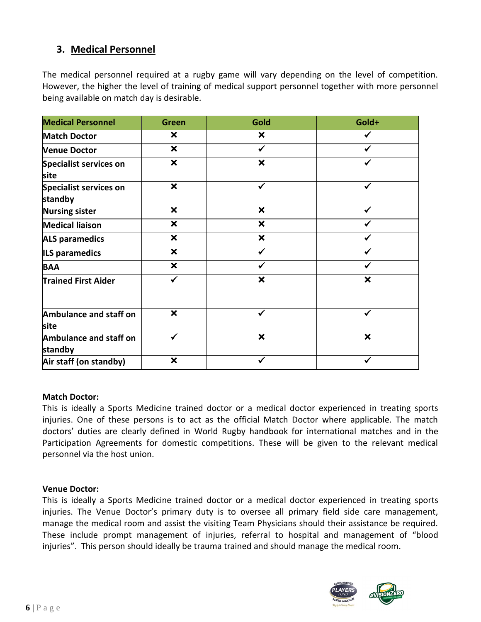## **3. Medical Personnel**

The medical personnel required at a rugby game will vary depending on the level of competition. However, the higher the level of training of medical support personnel together with more personnel being available on match day is desirable.

| <b>Medical Personnel</b>                 | <b>Green</b>              | Gold                      | Gold+                     |
|------------------------------------------|---------------------------|---------------------------|---------------------------|
| <b>Match Doctor</b>                      | ×                         | $\boldsymbol{\mathsf{x}}$ |                           |
| <b>Venue Doctor</b>                      | $\boldsymbol{\mathsf{x}}$ | $\checkmark$              |                           |
| <b>Specialist services on</b><br>site    | $\boldsymbol{\mathsf{x}}$ | $\boldsymbol{\mathsf{x}}$ |                           |
| <b>Specialist services on</b><br>standby | $\boldsymbol{\mathsf{x}}$ | ✓                         |                           |
| <b>Nursing sister</b>                    | $\boldsymbol{\mathsf{x}}$ | $\boldsymbol{\mathsf{x}}$ |                           |
| <b>Medical liaison</b>                   | $\boldsymbol{\mathsf{x}}$ | $\boldsymbol{\mathsf{x}}$ |                           |
| <b>ALS paramedics</b>                    | $\boldsymbol{\mathsf{x}}$ | $\boldsymbol{\mathsf{x}}$ |                           |
| <b>ILS paramedics</b>                    | $\boldsymbol{\mathsf{x}}$ |                           |                           |
| <b>BAA</b>                               | $\boldsymbol{\mathsf{x}}$ |                           |                           |
| <b>Trained First Aider</b>               | ✓                         | $\boldsymbol{\mathsf{x}}$ | ×                         |
| Ambulance and staff on<br>site           | $\boldsymbol{\mathsf{x}}$ |                           | ✔                         |
| Ambulance and staff on<br>standby        |                           | $\boldsymbol{\mathsf{x}}$ | $\boldsymbol{\mathsf{x}}$ |
| Air staff (on standby)                   | $\boldsymbol{\mathsf{x}}$ |                           |                           |

#### **Match Doctor:**

This is ideally a Sports Medicine trained doctor or a medical doctor experienced in treating sports injuries. One of these persons is to act as the official Match Doctor where applicable. The match doctors' duties are clearly defined in World Rugby handbook for international matches and in the Participation Agreements for domestic competitions. These will be given to the relevant medical personnel via the host union.

#### **Venue Doctor:**

This is ideally a Sports Medicine trained doctor or a medical doctor experienced in treating sports injuries. The Venue Doctor's primary duty is to oversee all primary field side care management, manage the medical room and assist the visiting Team Physicians should their assistance be required. These include prompt management of injuries, referral to hospital and management of "blood injuries". This person should ideally be trauma trained and should manage the medical room.

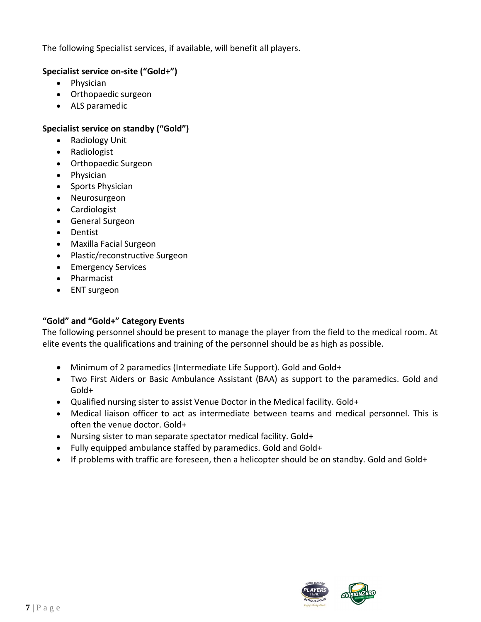The following Specialist services, if available, will benefit all players.

#### **Specialist service on-site ("Gold+")**

- Physician
- Orthopaedic surgeon
- ALS paramedic

#### **Specialist service on standby ("Gold")**

- Radiology Unit
- Radiologist
- Orthopaedic Surgeon
- Physician
- Sports Physician
- Neurosurgeon
- Cardiologist
- General Surgeon
- Dentist
- Maxilla Facial Surgeon
- Plastic/reconstructive Surgeon
- Emergency Services
- Pharmacist
- ENT surgeon

#### **"Gold" and "Gold+" Category Events**

The following personnel should be present to manage the player from the field to the medical room. At elite events the qualifications and training of the personnel should be as high as possible.

- Minimum of 2 paramedics (Intermediate Life Support). Gold and Gold+
- Two First Aiders or Basic Ambulance Assistant (BAA) as support to the paramedics. Gold and Gold+
- Qualified nursing sister to assist Venue Doctor in the Medical facility. Gold+
- Medical liaison officer to act as intermediate between teams and medical personnel. This is often the venue doctor. Gold+
- Nursing sister to man separate spectator medical facility. Gold+
- Fully equipped ambulance staffed by paramedics. Gold and Gold+
- If problems with traffic are foreseen, then a helicopter should be on standby. Gold and Gold+

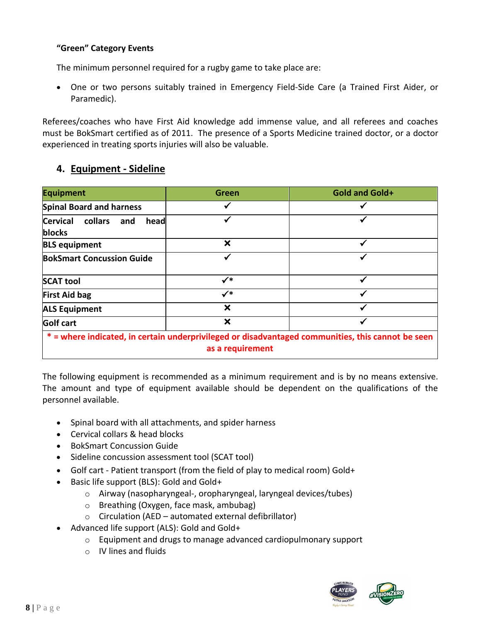#### **"Green" Category Events**

The minimum personnel required for a rugby game to take place are:

• One or two persons suitably trained in Emergency Field-Side Care (a Trained First Aider, or Paramedic).

Referees/coaches who have First Aid knowledge add immense value, and all referees and coaches must be BokSmart certified as of 2011. The presence of a Sports Medicine trained doctor, or a doctor experienced in treating sports injuries will also be valuable.

## **4. Equipment - Sideline**

| <b>Equipment</b>                                                                                                      | <b>Green</b>              | <b>Gold and Gold+</b> |  |  |
|-----------------------------------------------------------------------------------------------------------------------|---------------------------|-----------------------|--|--|
| <b>Spinal Board and harness</b>                                                                                       |                           |                       |  |  |
| <b>Cervical</b><br>collars<br>and<br>head<br>blocks                                                                   |                           | √                     |  |  |
| <b>BLS equipment</b>                                                                                                  | X                         | √                     |  |  |
| <b>BokSmart Concussion Guide</b>                                                                                      |                           | ₩                     |  |  |
| <b>SCAT tool</b>                                                                                                      | $\checkmark^*$            |                       |  |  |
| <b>First Aid bag</b>                                                                                                  | $\checkmark^*$            | √                     |  |  |
| <b>ALS Equipment</b>                                                                                                  | $\boldsymbol{\mathsf{x}}$ | $\checkmark$          |  |  |
| <b>Golf cart</b>                                                                                                      | $\boldsymbol{\mathsf{x}}$ | ✔                     |  |  |
| * = where indicated, in certain underprivileged or disadvantaged communities, this cannot be seen<br>as a requirement |                           |                       |  |  |

The following equipment is recommended as a minimum requirement and is by no means extensive. The amount and type of equipment available should be dependent on the qualifications of the personnel available.

- Spinal board with all attachments, and spider harness
- Cervical collars & head blocks
- BokSmart Concussion Guide
- Sideline concussion assessment tool (SCAT tool)
- Golf cart Patient transport (from the field of play to medical room) Gold+
- Basic life support (BLS): Gold and Gold+
	- o Airway (nasopharyngeal-, oropharyngeal, laryngeal devices/tubes)
	- o Breathing (Oxygen, face mask, ambubag)
	- $\circ$  Circulation (AED automated external defibrillator)
- Advanced life support (ALS): Gold and Gold+
	- o Equipment and drugs to manage advanced cardiopulmonary support
	- o IV lines and fluids

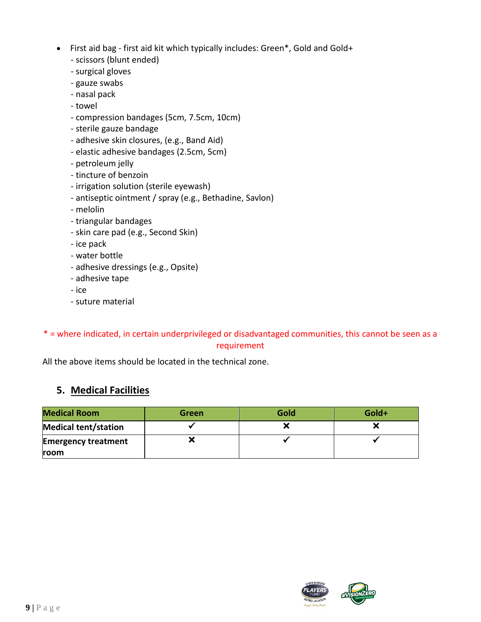- First aid bag first aid kit which typically includes: Green\*, Gold and Gold+
	- scissors (blunt ended)
	- surgical gloves
	- gauze swabs
	- nasal pack
	- towel
	- compression bandages (5cm, 7.5cm, 10cm)
	- sterile gauze bandage
	- adhesive skin closures, (e.g., Band Aid)
	- elastic adhesive bandages (2.5cm, 5cm)
	- petroleum jelly
	- tincture of benzoin
	- irrigation solution (sterile eyewash)
	- antiseptic ointment / spray (e.g., Bethadine, Savlon)
	- melolin
	- triangular bandages
	- skin care pad (e.g., Second Skin)
	- ice pack
	- water bottle
	- adhesive dressings (e.g., Opsite)
	- adhesive tape
	- ice
	- suture material

## \* = where indicated, in certain underprivileged or disadvantaged communities, this cannot be seen as a requirement

All the above items should be located in the technical zone.

## **5. Medical Facilities**

| <b>Medical Room</b>         | Green | Gold | Gold+ |
|-----------------------------|-------|------|-------|
| <b>Medical tent/station</b> |       |      |       |
| <b>Emergency treatment</b>  |       |      |       |
| <b>room</b>                 |       |      |       |

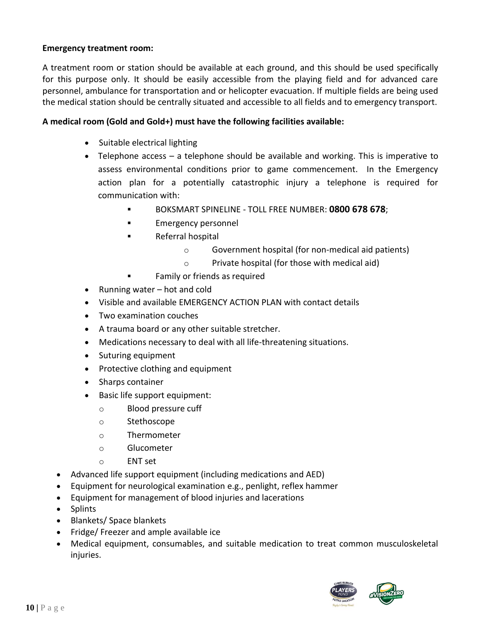#### **Emergency treatment room:**

A treatment room or station should be available at each ground, and this should be used specifically for this purpose only. It should be easily accessible from the playing field and for advanced care personnel, ambulance for transportation and or helicopter evacuation. If multiple fields are being used the medical station should be centrally situated and accessible to all fields and to emergency transport.

#### **A medical room (Gold and Gold+) must have the following facilities available:**

- Suitable electrical lighting
- Telephone access a telephone should be available and working. This is imperative to assess environmental conditions prior to game commencement. In the Emergency action plan for a potentially catastrophic injury a telephone is required for communication with:
	- BOKSMART SPINELINE TOLL FREE NUMBER: **0800 678 678**;
	- Emergency personnel
	- Referral hospital
		- o Government hospital (for non-medical aid patients)
		- o Private hospital (for those with medical aid)
	- Family or friends as required
- Running water hot and cold
- Visible and available EMERGENCY ACTION PLAN with contact details
- Two examination couches
- A trauma board or any other suitable stretcher.
- Medications necessary to deal with all life-threatening situations.
- Suturing equipment
- Protective clothing and equipment
- Sharps container
- Basic life support equipment:
	- o Blood pressure cuff
	- o Stethoscope
	- o Thermometer
	- o Glucometer
	- $\circ$  FNT set
- Advanced life support equipment (including medications and AED)
- Equipment for neurological examination e.g., penlight, reflex hammer
- Equipment for management of blood injuries and lacerations
- Splints
- Blankets/ Space blankets
- Fridge/ Freezer and ample available ice
- Medical equipment, consumables, and suitable medication to treat common musculoskeletal injuries.

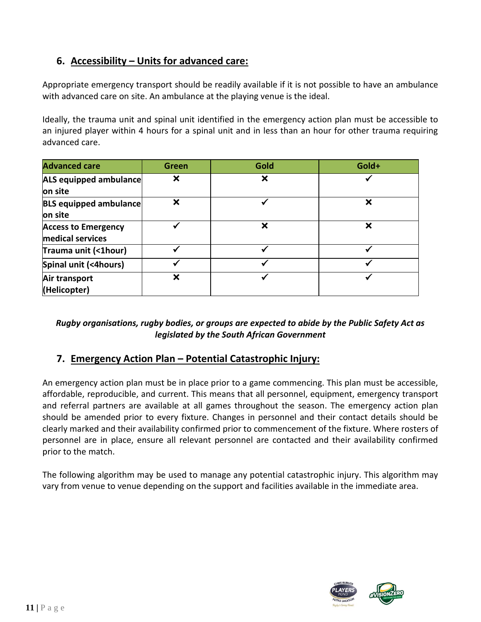## **6. Accessibility – Units for advanced care:**

Appropriate emergency transport should be readily available if it is not possible to have an ambulance with advanced care on site. An ambulance at the playing venue is the ideal.

Ideally, the trauma unit and spinal unit identified in the emergency action plan must be accessible to an injured player within 4 hours for a spinal unit and in less than an hour for other trauma requiring advanced care.

| <b>Advanced care</b>                           | Green | Gold | Gold+ |
|------------------------------------------------|-------|------|-------|
| ALS equipped ambulance<br>on site              | ×     | X    |       |
| <b>BLS equipped ambulance</b><br>on site       | ×     |      | ×     |
| <b>Access to Emergency</b><br>medical services |       | X    | ×     |
| Trauma unit (<1hour)                           |       |      |       |
| Spinal unit (<4hours)                          |       |      |       |
| Air transport<br>(Helicopter)                  | ×     |      |       |

#### *Rugby organisations, rugby bodies, or groups are expected to abide by the Public Safety Act as legislated by the South African Government*

## **7. Emergency Action Plan – Potential Catastrophic Injury:**

An emergency action plan must be in place prior to a game commencing. This plan must be accessible, affordable, reproducible, and current. This means that all personnel, equipment, emergency transport and referral partners are available at all games throughout the season. The emergency action plan should be amended prior to every fixture. Changes in personnel and their contact details should be clearly marked and their availability confirmed prior to commencement of the fixture. Where rosters of personnel are in place, ensure all relevant personnel are contacted and their availability confirmed prior to the match.

The following algorithm may be used to manage any potential catastrophic injury. This algorithm may vary from venue to venue depending on the support and facilities available in the immediate area.

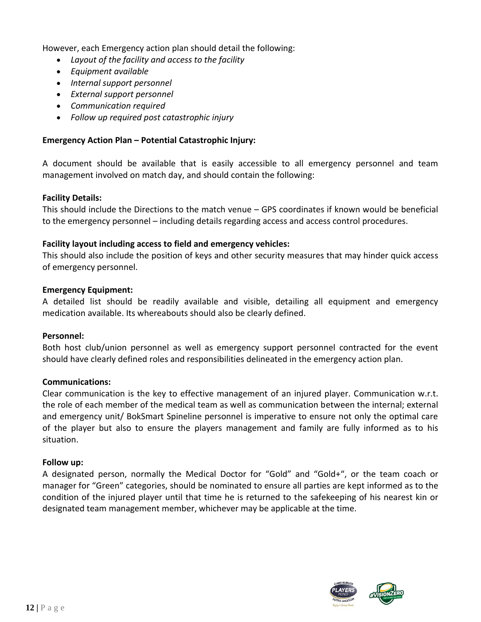However, each Emergency action plan should detail the following:

- *Layout of the facility and access to the facility*
- *Equipment available*
- *Internal support personnel*
- *External support personnel*
- *Communication required*
- *Follow up required post catastrophic injury*

#### **Emergency Action Plan – Potential Catastrophic Injury:**

A document should be available that is easily accessible to all emergency personnel and team management involved on match day, and should contain the following:

#### **Facility Details:**

This should include the Directions to the match venue – GPS coordinates if known would be beneficial to the emergency personnel – including details regarding access and access control procedures.

#### **Facility layout including access to field and emergency vehicles:**

This should also include the position of keys and other security measures that may hinder quick access of emergency personnel.

#### **Emergency Equipment:**

A detailed list should be readily available and visible, detailing all equipment and emergency medication available. Its whereabouts should also be clearly defined.

#### **Personnel:**

Both host club/union personnel as well as emergency support personnel contracted for the event should have clearly defined roles and responsibilities delineated in the emergency action plan.

#### **Communications:**

Clear communication is the key to effective management of an injured player. Communication w.r.t. the role of each member of the medical team as well as communication between the internal; external and emergency unit/ BokSmart Spineline personnel is imperative to ensure not only the optimal care of the player but also to ensure the players management and family are fully informed as to his situation.

#### **Follow up:**

A designated person, normally the Medical Doctor for "Gold" and "Gold+", or the team coach or manager for "Green" categories, should be nominated to ensure all parties are kept informed as to the condition of the injured player until that time he is returned to the safekeeping of his nearest kin or designated team management member, whichever may be applicable at the time.

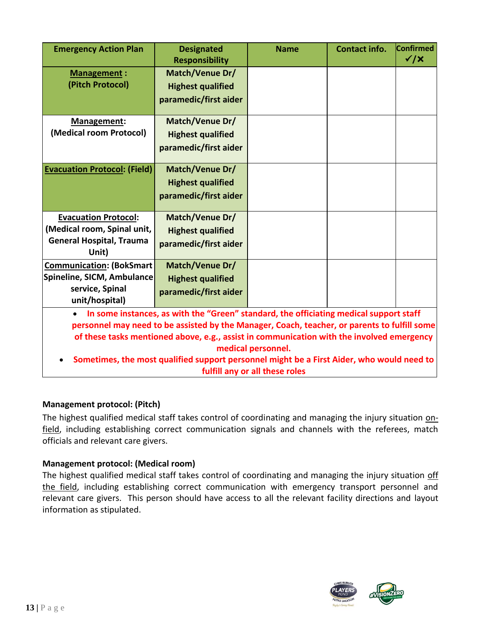| <b>Emergency Action Plan</b>                                                                                                                                                                                                                                                                                                                                                                                                                          | <b>Designated</b><br><b>Responsibility</b>                                  | <b>Name</b> | <b>Contact info.</b> | Confirmed<br>$\checkmark$ / $\times$ |
|-------------------------------------------------------------------------------------------------------------------------------------------------------------------------------------------------------------------------------------------------------------------------------------------------------------------------------------------------------------------------------------------------------------------------------------------------------|-----------------------------------------------------------------------------|-------------|----------------------|--------------------------------------|
| <b>Management:</b><br>(Pitch Protocol)                                                                                                                                                                                                                                                                                                                                                                                                                | <b>Match/Venue Dr/</b><br><b>Highest qualified</b><br>paramedic/first aider |             |                      |                                      |
| Management:<br>(Medical room Protocol)                                                                                                                                                                                                                                                                                                                                                                                                                | Match/Venue Dr/<br><b>Highest qualified</b><br>paramedic/first aider        |             |                      |                                      |
| <b>Evacuation Protocol: (Field)</b>                                                                                                                                                                                                                                                                                                                                                                                                                   | <b>Match/Venue Dr/</b><br><b>Highest qualified</b><br>paramedic/first aider |             |                      |                                      |
| <b>Evacuation Protocol:</b><br>(Medical room, Spinal unit,<br><b>General Hospital, Trauma</b><br>Unit)                                                                                                                                                                                                                                                                                                                                                | <b>Match/Venue Dr/</b><br><b>Highest qualified</b><br>paramedic/first aider |             |                      |                                      |
| <b>Communication: (BokSmart</b><br>Spineline, SICM, Ambulance<br>service, Spinal<br>unit/hospital)                                                                                                                                                                                                                                                                                                                                                    | Match/Venue Dr/<br><b>Highest qualified</b><br>paramedic/first aider        |             |                      |                                      |
| In some instances, as with the "Green" standard, the officiating medical support staff<br>$\bullet$<br>personnel may need to be assisted by the Manager, Coach, teacher, or parents to fulfill some<br>of these tasks mentioned above, e.g., assist in communication with the involved emergency<br>medical personnel.<br>Sometimes, the most qualified support personnel might be a First Aider, who would need to<br>fulfill any or all these roles |                                                                             |             |                      |                                      |

#### **Management protocol: (Pitch)**

The highest qualified medical staff takes control of coordinating and managing the injury situation onfield, including establishing correct communication signals and channels with the referees, match officials and relevant care givers.

#### **Management protocol: (Medical room)**

The highest qualified medical staff takes control of coordinating and managing the injury situation off the field, including establishing correct communication with emergency transport personnel and relevant care givers. This person should have access to all the relevant facility directions and layout information as stipulated.

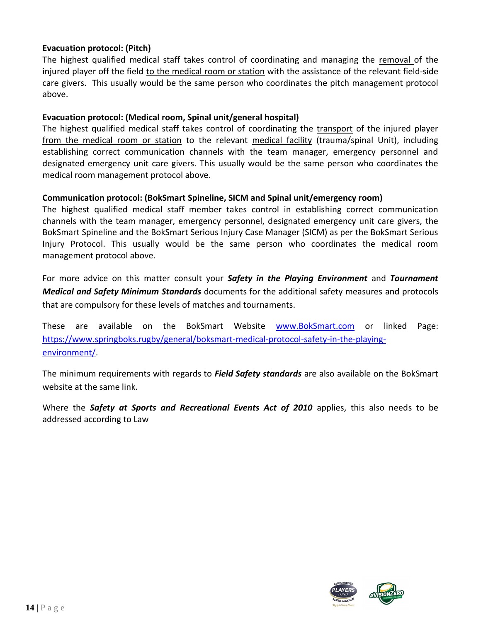#### **Evacuation protocol: (Pitch)**

The highest qualified medical staff takes control of coordinating and managing the removal of the injured player off the field to the medical room or station with the assistance of the relevant field-side care givers. This usually would be the same person who coordinates the pitch management protocol above.

#### **Evacuation protocol: (Medical room, Spinal unit/general hospital)**

The highest qualified medical staff takes control of coordinating the transport of the injured player from the medical room or station to the relevant medical facility (trauma/spinal Unit), including establishing correct communication channels with the team manager, emergency personnel and designated emergency unit care givers. This usually would be the same person who coordinates the medical room management protocol above.

#### **Communication protocol: (BokSmart Spineline, SICM and Spinal unit/emergency room)**

The highest qualified medical staff member takes control in establishing correct communication channels with the team manager, emergency personnel, designated emergency unit care givers, the BokSmart Spineline and the BokSmart Serious Injury Case Manager (SICM) as per the BokSmart Serious Injury Protocol. This usually would be the same person who coordinates the medical room management protocol above.

For more advice on this matter consult your *Safety in the Playing Environment* and *Tournament Medical and Safety Minimum Standards* documents for the additional safety measures and protocols that are compulsory for these levels of matches and tournaments.

These are available on the BokSmart Website [www.BokSmart.com](http://www.boksmart.com/) or linked Page: [https://www.springboks.rugby/general/boksmart-medical-protocol-safety-in-the-playing](https://www.springboks.rugby/general/boksmart-medical-protocol-safety-in-the-playing-environment/)[environment/.](https://www.springboks.rugby/general/boksmart-medical-protocol-safety-in-the-playing-environment/)

The minimum requirements with regards to *Field Safety standards* are also available on the BokSmart website at the same link.

Where the *Safety at Sports and Recreational Events Act of 2010* applies, this also needs to be addressed according to Law

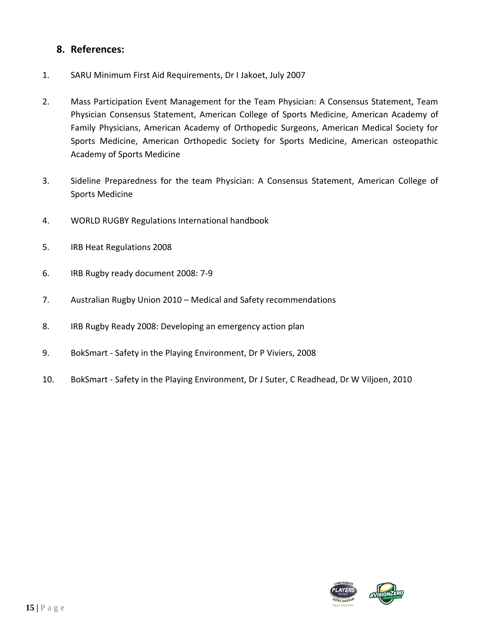## **8. References:**

- 1. SARU Minimum First Aid Requirements, Dr I Jakoet, July 2007
- 2. Mass Participation Event Management for the Team Physician: A Consensus Statement, Team Physician Consensus Statement, American College of Sports Medicine, American Academy of Family Physicians, American Academy of Orthopedic Surgeons, American Medical Society for Sports Medicine, American Orthopedic Society for Sports Medicine, American osteopathic Academy of Sports Medicine
- 3. Sideline Preparedness for the team Physician: A Consensus Statement, American College of Sports Medicine
- 4. WORLD RUGBY Regulations International handbook
- 5. IRB Heat Regulations 2008
- 6. IRB Rugby ready document 2008: 7-9
- 7. Australian Rugby Union 2010 Medical and Safety recommendations
- 8. IRB Rugby Ready 2008: Developing an emergency action plan
- 9. BokSmart Safety in the Playing Environment, Dr P Viviers, 2008
- 10. BokSmart Safety in the Playing Environment, Dr J Suter, C Readhead, Dr W Viljoen, 2010

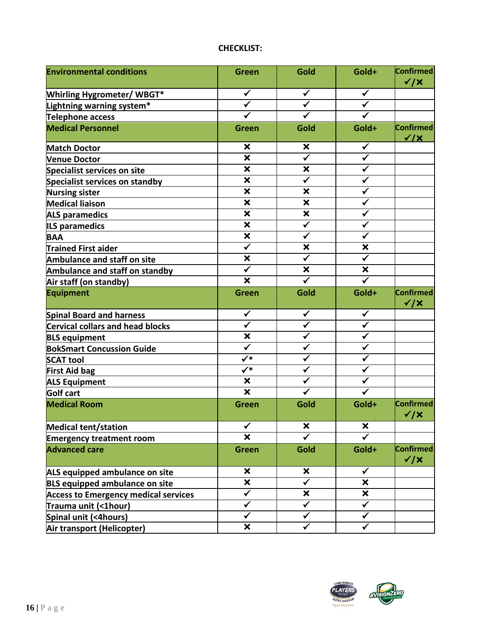## **CHECKLIST:**

| <b>Environmental conditions</b>             | <b>Green</b>              | Gold                      | Gold+                     | Confirmed<br>$\checkmark$ / $\times$ |
|---------------------------------------------|---------------------------|---------------------------|---------------------------|--------------------------------------|
| <b>Whirling Hygrometer/ WBGT*</b>           | $\checkmark$              | $\checkmark$              | $\checkmark$              |                                      |
| Lightning warning system*                   | $\checkmark$              | $\checkmark$              | $\checkmark$              |                                      |
| <b>Telephone access</b>                     |                           |                           |                           |                                      |
| <b>Medical Personnel</b>                    | <b>Green</b>              | Gold                      | Gold+                     | Confirmed<br>$\sqrt{X}$              |
| <b>Match Doctor</b>                         | ×                         | $\boldsymbol{\mathsf{x}}$ | $\checkmark$              |                                      |
| <b>Venue Doctor</b>                         | $\boldsymbol{\mathsf{x}}$ | $\checkmark$              | ✓                         |                                      |
| <b>Specialist services on site</b>          | $\boldsymbol{\mathsf{x}}$ | $\boldsymbol{\mathsf{x}}$ | $\checkmark$              |                                      |
| Specialist services on standby              | $\boldsymbol{\mathsf{x}}$ | $\checkmark$              | ✓                         |                                      |
| <b>Nursing sister</b>                       | $\boldsymbol{\mathsf{x}}$ | $\boldsymbol{\mathsf{x}}$ | ✓                         |                                      |
| <b>Medical liaison</b>                      | $\boldsymbol{\mathsf{x}}$ | ×                         |                           |                                      |
| <b>ALS paramedics</b>                       | $\boldsymbol{\mathsf{x}}$ | $\boldsymbol{\mathsf{x}}$ | ✓                         |                                      |
| <b>ILS paramedics</b>                       | $\boldsymbol{\mathsf{x}}$ | $\checkmark$              | ✓                         |                                      |
| <b>BAA</b>                                  | $\overline{\mathbf{x}}$   | $\checkmark$              |                           |                                      |
| Trained First aider                         | $\overline{\checkmark}$   | $\boldsymbol{\mathsf{x}}$ | $\boldsymbol{\mathsf{x}}$ |                                      |
| <b>Ambulance and staff on site</b>          | $\boldsymbol{\mathsf{x}}$ | $\overline{\checkmark}$   | $\checkmark$              |                                      |
| Ambulance and staff on standby              | $\checkmark$              | $\boldsymbol{\mathsf{x}}$ | $\boldsymbol{\mathsf{x}}$ |                                      |
| Air staff (on standby)                      | $\boldsymbol{\mathsf{x}}$ | $\overline{\checkmark}$   |                           |                                      |
| <b>Equipment</b>                            | Green                     | Gold                      | Gold+                     | Confirmed<br>$\checkmark$ / $\times$ |
| <b>Spinal Board and harness</b>             | $\checkmark$              | $\checkmark$              | $\checkmark$              |                                      |
| <b>Cervical collars and head blocks</b>     | ✓                         | ✔                         |                           |                                      |
| <b>BLS equipment</b>                        | $\boldsymbol{\mathsf{x}}$ | ✓                         | ✓                         |                                      |
| <b>BokSmart Concussion Guide</b>            | $\overline{\checkmark}$   |                           |                           |                                      |
| <b>SCAT tool</b>                            | $\checkmark^*$            |                           |                           |                                      |
| <b>First Aid bag</b>                        | $\checkmark^*$            |                           | ✓                         |                                      |
| <b>ALS Equipment</b>                        | $\boldsymbol{\mathsf{x}}$ | $\checkmark$              | ✔                         |                                      |
| Golf cart                                   | $\overline{\mathbf{x}}$   | $\checkmark$              |                           |                                      |
| <b>Medical Room</b>                         | <b>Green</b>              | Gold                      | Gold+                     | Confirmed<br>$\checkmark$ / $\times$ |
| <b>Medical tent/station</b>                 | ✓                         | $\boldsymbol{\mathsf{x}}$ | $\boldsymbol{\mathsf{x}}$ |                                      |
| <b>Emergency treatment room</b>             | $\boldsymbol{\mathsf{x}}$ |                           |                           |                                      |
| <b>Advanced care</b>                        | <b>Green</b>              | Gold                      | Gold+                     | Confirmed<br>$\checkmark$ / $\times$ |
| ALS equipped ambulance on site              | $\boldsymbol{\mathsf{x}}$ | $\boldsymbol{\mathsf{x}}$ | ✔                         |                                      |
| <b>BLS equipped ambulance on site</b>       | $\boldsymbol{\mathsf{x}}$ | ✓                         | $\boldsymbol{\mathsf{x}}$ |                                      |
| <b>Access to Emergency medical services</b> | $\checkmark$              | $\boldsymbol{\mathsf{x}}$ | $\boldsymbol{\mathsf{x}}$ |                                      |
| Trauma unit (<1hour)                        | $\checkmark$              | ✓                         |                           |                                      |
| Spinal unit (<4hours)                       | ✓                         | ✓                         | ✓                         |                                      |
| Air transport (Helicopter)                  | $\boldsymbol{\mathsf{x}}$ | $\checkmark$              | $\checkmark$              |                                      |

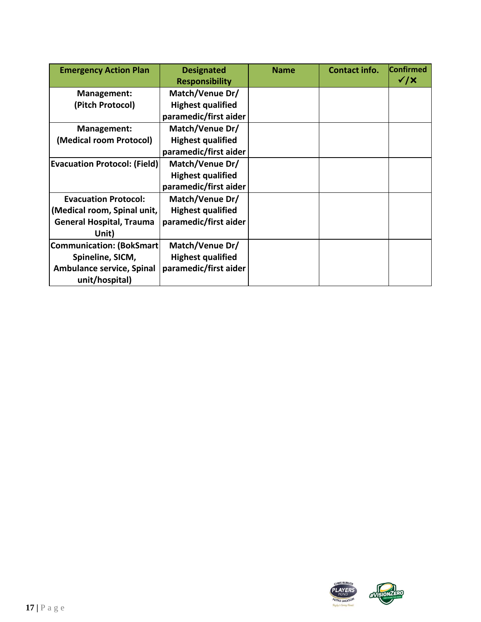| <b>Emergency Action Plan</b>        | <b>Designated</b><br><b>Responsibility</b> | <b>Name</b> | Contact info. | <b>Confirmed</b><br>$\checkmark$ / $\times$ |
|-------------------------------------|--------------------------------------------|-------------|---------------|---------------------------------------------|
| Management:                         | Match/Venue Dr/                            |             |               |                                             |
| (Pitch Protocol)                    | <b>Highest qualified</b>                   |             |               |                                             |
|                                     | paramedic/first aider                      |             |               |                                             |
| Management:                         | Match/Venue Dr/                            |             |               |                                             |
| (Medical room Protocol)             | <b>Highest qualified</b>                   |             |               |                                             |
|                                     | paramedic/first aider                      |             |               |                                             |
| <b>Evacuation Protocol: (Field)</b> | Match/Venue Dr/                            |             |               |                                             |
|                                     | <b>Highest qualified</b>                   |             |               |                                             |
|                                     | paramedic/first aider                      |             |               |                                             |
| <b>Evacuation Protocol:</b>         | Match/Venue Dr/                            |             |               |                                             |
| (Medical room, Spinal unit,         | <b>Highest qualified</b>                   |             |               |                                             |
| <b>General Hospital, Trauma</b>     | paramedic/first aider                      |             |               |                                             |
| Unit)                               |                                            |             |               |                                             |
| Communication: (BokSmart)           | Match/Venue Dr/                            |             |               |                                             |
| Spineline, SICM,                    | <b>Highest qualified</b>                   |             |               |                                             |
| <b>Ambulance service, Spinal</b>    | paramedic/first aider                      |             |               |                                             |
| unit/hospital)                      |                                            |             |               |                                             |